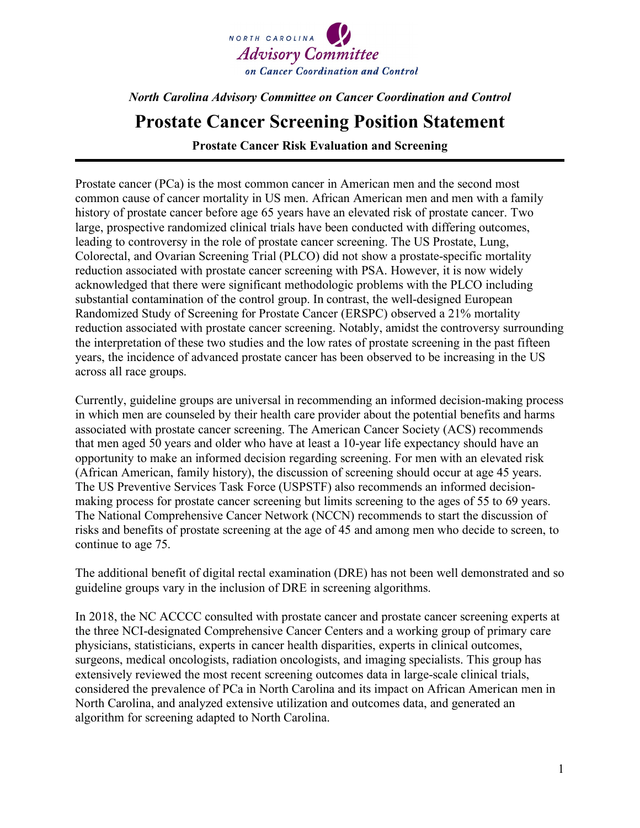

## *North Carolina Advisory Committee on Cancer Coordination and Control*

## **Prostate Cancer Screening Position Statement**

**Prostate Cancer Risk Evaluation and Screening** 

Prostate cancer (PCa) is the most common cancer in American men and the second most common cause of cancer mortality in US men. African American men and men with a family history of prostate cancer before age 65 years have an elevated risk of prostate cancer. Two large, prospective randomized clinical trials have been conducted with differing outcomes, leading to controversy in the role of prostate cancer screening. The US Prostate, Lung, Colorectal, and Ovarian Screening Trial (PLCO) did not show a prostate-specific mortality reduction associated with prostate cancer screening with PSA. However, it is now widely acknowledged that there were significant methodologic problems with the PLCO including substantial contamination of the control group. In contrast, the well-designed European Randomized Study of Screening for Prostate Cancer (ERSPC) observed a 21% mortality reduction associated with prostate cancer screening. Notably, amidst the controversy surrounding the interpretation of these two studies and the low rates of prostate screening in the past fifteen years, the incidence of advanced prostate cancer has been observed to be increasing in the US across all race groups.

Currently, guideline groups are universal in recommending an informed decision-making process in which men are counseled by their health care provider about the potential benefits and harms associated with prostate cancer screening. The American Cancer Society (ACS) recommends that men aged 50 years and older who have at least a 10-year life expectancy should have an opportunity to make an informed decision regarding screening. For men with an elevated risk (African American, family history), the discussion of screening should occur at age 45 years. The US Preventive Services Task Force (USPSTF) also recommends an informed decisionmaking process for prostate cancer screening but limits screening to the ages of 55 to 69 years. The National Comprehensive Cancer Network (NCCN) recommends to start the discussion of risks and benefits of prostate screening at the age of 45 and among men who decide to screen, to continue to age 75.

The additional benefit of digital rectal examination (DRE) has not been well demonstrated and so guideline groups vary in the inclusion of DRE in screening algorithms.

In 2018, the NC ACCCC consulted with prostate cancer and prostate cancer screening experts at the three NCI-designated Comprehensive Cancer Centers and a working group of primary care physicians, statisticians, experts in cancer health disparities, experts in clinical outcomes, surgeons, medical oncologists, radiation oncologists, and imaging specialists. This group has extensively reviewed the most recent screening outcomes data in large-scale clinical trials, considered the prevalence of PCa in North Carolina and its impact on African American men in North Carolina, and analyzed extensive utilization and outcomes data, and generated an algorithm for screening adapted to North Carolina.